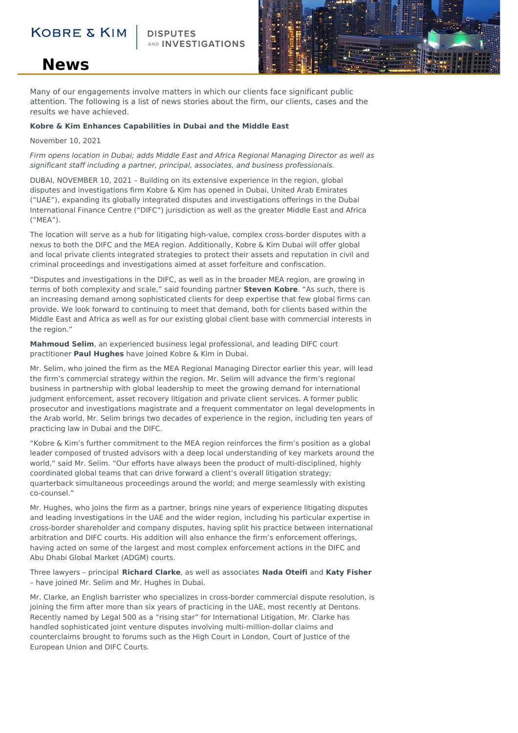### **KOBRE & KIN**

AND INVESTIGATIONS



## **News**

Many of our engagements involve matters in which our clients face significant public attention. The following is a list of news stories about the firm, our clients, cases and the results we have achieved.

#### **Kobre & Kim Enhances Capabilities in Dubai and the Middle East**

#### November 10, 2021

Firm opens location in Dubai; adds Middle East and Africa Regional Managing Director as well as significant staff including a partner, principal, associates, and business professionals.

DUBAI, NOVEMBER 10, 2021 – Building on its extensive experience in the region, global disputes and investigations firm Kobre & Kim has opened in Dubai, United Arab Emirates ("UAE"), expanding its globally integrated disputes and investigations offerings in the Dubai International Finance Centre ("DIFC") jurisdiction as well as the greater Middle East and Africa ("MEA").

The location will serve as a hub for litigating high-value, complex cross-border disputes with a nexus to both the DIFC and the MEA region. Additionally, Kobre & Kim Dubai will offer global and local private clients integrated strategies to protect their assets and reputation in civil and criminal proceedings and investigations aimed at asset forfeiture and confiscation.

"Disputes and investigations in the DIFC, as well as in the broader MEA region, are growing in terms of both complexity and scale," said founding partner **Steven Kobre**. "As such, there is an increasing demand among sophisticated clients for deep expertise that few global firms can provide. We look forward to continuing to meet that demand, both for clients based within the Middle East and Africa as well as for our existing global client base with commercial interests in the region."

**Mahmoud Selim**, an experienced business legal professional, and leading DIFC court practitioner **Paul Hughes** have joined Kobre & Kim in Dubai.

Mr. Selim, who joined the firm as the MEA Regional Managing Director earlier this year, will lead the firm's commercial strategy within the region. Mr. Selim will advance the firm's regional business in partnership with global leadership to meet the growing demand for international judgment enforcement, asset recovery litigation and private client services. A former public prosecutor and investigations magistrate and a frequent commentator on legal developments in the Arab world, Mr. Selim brings two decades of experience in the region, including ten years of practicing law in Dubai and the DIFC.

"Kobre & Kim's further commitment to the MEA region reinforces the firm's position as a global leader composed of trusted advisors with a deep local understanding of key markets around the world," said Mr. Selim. "Our efforts have always been the product of multi-disciplined, highly coordinated global teams that can drive forward a client's overall litigation strategy; quarterback simultaneous proceedings around the world; and merge seamlessly with existing co-counsel."

Mr. Hughes, who joins the firm as a partner, brings nine years of experience litigating disputes and leading investigations in the UAE and the wider region, including his particular expertise in cross-border shareholder and company disputes, having split his practice between international arbitration and DIFC courts. His addition will also enhance the firm's enforcement offerings, having acted on some of the largest and most complex enforcement actions in the DIFC and Abu Dhabi Global Market (ADGM) courts.

Three lawyers – principal **Richard Clarke**, as well as associates **Nada Oteifi** and **Katy Fisher** – have joined Mr. Selim and Mr. Hughes in Dubai.

Mr. Clarke, an English barrister who specializes in cross-border commercial dispute resolution, is joining the firm after more than six years of practicing in the UAE, most recently at Dentons. Recently named by Legal 500 as a "rising star" for International Litigation, Mr. Clarke has handled sophisticated joint venture disputes involving multi-million-dollar claims and counterclaims brought to forums such as the High Court in London, Court of Justice of the European Union and DIFC Courts.